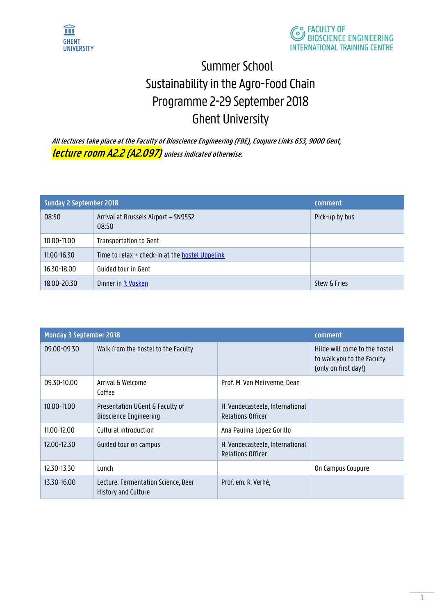



# Summer School Sustainability in the Agro-Food Chain Programme 2-29 September 2018 Ghent University

**All lectures take place at the Faculty of Bioscience Engineering (FBE), Coupure Links 653, 9000 Gent, lecture room A2.2 (A2.097) unless indicated otherwise.**

| <b>Sunday 2 September 2018</b> |                                                 | comment        |
|--------------------------------|-------------------------------------------------|----------------|
| 08:50                          | Arrival at Brussels Airport - SN9552<br>08:50   | Pick-up by bus |
| 10.00-11.00                    | Transportation to Gent                          |                |
| 11.00-16.30                    | Time to relax + check-in at the hostel Uppelink |                |
| 16.30-18.00                    | Guided tour in Gent                             |                |
| 18.00-20.30                    | Dinner in 't Vosken                             | Stew & Fries   |

| <b>Monday 3 September 2018</b> |                                                                  | comment                                                     |                                                                                     |
|--------------------------------|------------------------------------------------------------------|-------------------------------------------------------------|-------------------------------------------------------------------------------------|
| 09.00-09.30                    | Walk from the hostel to the Faculty                              |                                                             | Hilde will come to the hostel<br>to walk you to the Faculty<br>(only on first day!) |
| 09.30-10.00                    | Arrival & Welcome<br>Coffee                                      | Prof. M. Van Meirvenne, Dean                                |                                                                                     |
| 10.00-11.00                    | Presentation UGent & Faculty of<br><b>Bioscience Engineering</b> | H. Vandecasteele, International<br><b>Relations Officer</b> |                                                                                     |
| 11.00-12.00                    | Cultural introduction                                            | Ana Paulina López Gorillo                                   |                                                                                     |
| 12.00-12.30                    | Guided tour on campus                                            | H. Vandecasteele, International<br><b>Relations Officer</b> |                                                                                     |
| 12.30-13.30                    | Lunch                                                            |                                                             | On Campus Coupure                                                                   |
| 13.30-16.00                    | Lecture: Fermentation Science, Beer<br>History and Culture       | Prof. em. R. Verhé,                                         |                                                                                     |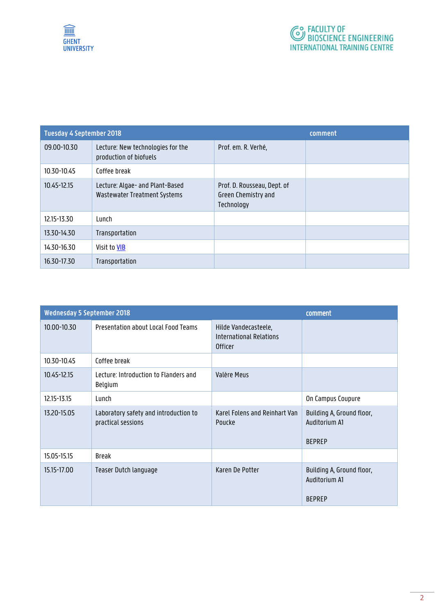

| <b>Tuesday 4 September 2018</b> |                                                                 | comment                                                          |  |
|---------------------------------|-----------------------------------------------------------------|------------------------------------------------------------------|--|
| 09.00-10.30                     | Lecture: New technologies for the<br>production of biofuels     | Prof. em. R. Verhé,                                              |  |
| 10.30-10.45                     | Coffee break                                                    |                                                                  |  |
| 10.45-12.15                     | Lecture: Algae- and Plant-Based<br>Wastewater Treatment Systems | Prof. D. Rousseau, Dept. of<br>Green Chemistry and<br>Technology |  |
| 12.15-13.30                     | Lunch                                                           |                                                                  |  |
| 13.30-14.30                     | Transportation                                                  |                                                                  |  |
| 14.30-16.30                     | Visit to VIB                                                    |                                                                  |  |
| 16.30-17.30                     | Transportation                                                  |                                                                  |  |

|             | <b>Wednesday 5 September 2018</b>                           |                                                                          |                                                             |
|-------------|-------------------------------------------------------------|--------------------------------------------------------------------------|-------------------------------------------------------------|
| 10.00-10.30 | Presentation about Local Food Teams                         | Hilde Vandecasteele,<br><b>International Relations</b><br><b>Officer</b> |                                                             |
| 10.30-10.45 | Coffee break                                                |                                                                          |                                                             |
| 10.45-12.15 | Lecture: Introduction to Flanders and<br>Belgium            | Valère Meus                                                              |                                                             |
| 12.15-13.15 | Lunch                                                       |                                                                          | On Campus Coupure                                           |
| 13.20-15.05 | Laboratory safety and introduction to<br>practical sessions | Karel Folens and Reinhart Van<br>Poucke                                  | Building A, Ground floor,<br>Auditorium A1<br><b>BEPREP</b> |
| 15.05-15.15 | <b>Break</b>                                                |                                                                          |                                                             |
| 15.15-17.00 | Teaser Dutch language                                       | Karen De Potter                                                          | Building A, Ground floor,<br>Auditorium A1<br><b>BEPREP</b> |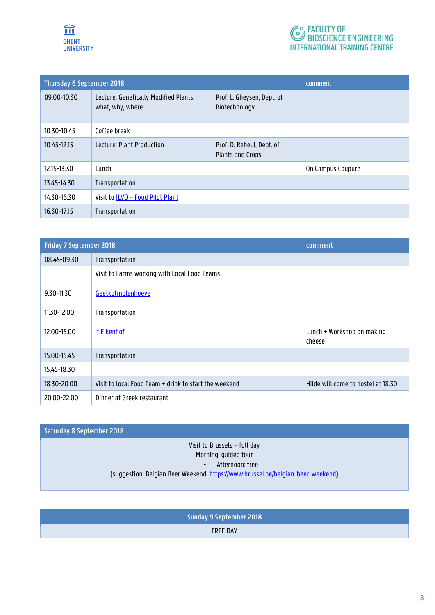



| <b>Thursday 6 September 2018</b> |                                                           | comment                                              |                   |
|----------------------------------|-----------------------------------------------------------|------------------------------------------------------|-------------------|
| 09.00-10.30                      | Lecture: Genetically Modified Plants:<br>what, why, where | Prof. L. Gheysen, Dept. of<br>Biotechnology          |                   |
| 10.30-10.45                      | Coffee break                                              |                                                      |                   |
| 10.45-12.15                      | Lecture: Plant Production                                 | Prof. D. Reheul, Dept. of<br><b>Plants and Crops</b> |                   |
| 12.15-13.30                      | Lunch                                                     |                                                      | On Campus Coupure |
| 13.45-14.30                      | Transportation                                            |                                                      |                   |
| 14.30-16.30                      | Visit to ILVO - Food Pilot Plant                          |                                                      |                   |
| 16.30-17.15                      | Transportation                                            |                                                      |                   |

| <b>Friday 7 September 2018</b> |                                                       | comment                              |
|--------------------------------|-------------------------------------------------------|--------------------------------------|
| 08.45-09.30                    | Transportation                                        |                                      |
|                                | Visit to Farms working with Local Food Teams          |                                      |
| 9.30-11.30                     | Geetkotmolenhoeve                                     |                                      |
| 11.30-12.00                    | Transportation                                        |                                      |
| 12.00-15.00                    | 't Eikenhof                                           | Lunch + Workshop on making<br>cheese |
| 15.00-15.45                    | Transportation                                        |                                      |
| 15.45-18.30                    |                                                       |                                      |
| 18.30-20.00                    | Visit to local Food Team + drink to start the weekend | Hilde will come to hostel at 18.30   |
| 20.00-22.00                    | Dinner at Greek restaurant                            |                                      |

### **Saturday 8 September 2018**

#### Visit to Brussels – full day Morning: guided tour - Afternoon: free (suggestion: Belgian Beer Weekend[: https://www.brussel.be/belgian-beer-weekend\)](https://www.brussel.be/belgian-beer-weekend)

**Sunday 9 September 2018** FREE DAY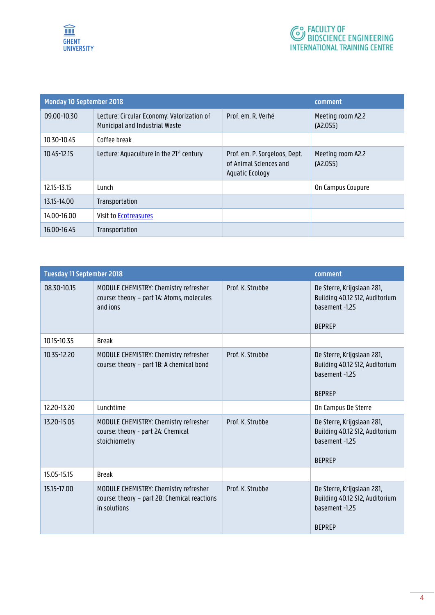

| <b>Monday 10 September 2018</b> |                                                                              |                                                                            | comment                       |
|---------------------------------|------------------------------------------------------------------------------|----------------------------------------------------------------------------|-------------------------------|
| 09.00-10.30                     | Lecture: Circular Economy: Valorization of<br>Municipal and Industrial Waste | Prof. em. R. Verhé                                                         | Meeting room A2.2<br>(A2.055) |
| 10.30-10.45                     | Coffee break                                                                 |                                                                            |                               |
| 10.45-12.15                     | Lecture: Aquaculture in the 21 <sup>st</sup> century                         | Prof. em. P. Sorgeloos, Dept.<br>of Animal Sciences and<br>Aquatic Ecology | Meeting room A2.2<br>(A2.055) |
| 12.15-13.15                     | <b>Lunch</b>                                                                 |                                                                            | On Campus Coupure             |
| 13.15-14.00                     | Transportation                                                               |                                                                            |                               |
| 14.00-16.00                     | Visit to Ecotreasures                                                        |                                                                            |                               |
| 16.00-16.45                     | Transportation                                                               |                                                                            |                               |

| <b>Tuesday 11 September 2018</b> |                                                                                                       |                  | comment                                                                                         |
|----------------------------------|-------------------------------------------------------------------------------------------------------|------------------|-------------------------------------------------------------------------------------------------|
| 08.30-10.15                      | MODULE CHEMISTRY: Chemistry refresher<br>course: theory - part 1A: Atoms, molecules<br>and ions       | Prof. K. Strubbe | De Sterre, Krijgslaan 281,<br>Building 40.12 S12, Auditorium<br>basement -1.25<br><b>BEPREP</b> |
| 10.15-10.35                      | <b>Break</b>                                                                                          |                  |                                                                                                 |
| 10.35-12.20                      | MODULE CHEMISTRY: Chemistry refresher<br>course: theory - part 1B: A chemical bond                    | Prof. K. Strubbe | De Sterre, Krijgslaan 281,<br>Building 40.12 S12, Auditorium<br>hasement-125<br><b>BEPREP</b>   |
| 12.20-13.20                      | Lunchtime                                                                                             |                  | On Campus De Sterre                                                                             |
| 13.20-15.05                      | MODULE CHEMISTRY: Chemistry refresher<br>course: theory - part 2A: Chemical<br>stoichiometry          | Prof. K. Strubbe | De Sterre, Krijgslaan 281,<br>Building 40.12 S12, Auditorium<br>basement -1.25<br><b>BEPREP</b> |
| 15.05-15.15                      | <b>Break</b>                                                                                          |                  |                                                                                                 |
| 15.15-17.00                      | MODULE CHEMISTRY: Chemistry refresher<br>course: theory - part 2B: Chemical reactions<br>in solutions | Prof. K. Strubbe | De Sterre, Krijgslaan 281,<br>Building 40.12 S12, Auditorium<br>basement -1.25<br><b>BEPREP</b> |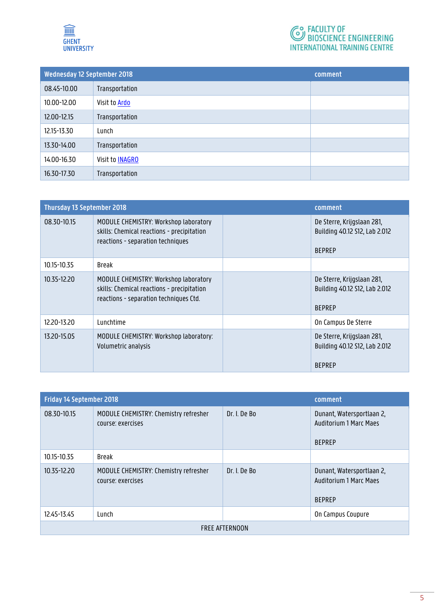

# **C**<sup>O</sup> FACULTY OF<br>BIOSCIENCE ENGINEERING **INTERNATIONAL TRAINING CENTRE**

| Wednesday 12 September 2018 |                        | comment |
|-----------------------------|------------------------|---------|
| 08.45-10.00                 | Transportation         |         |
| 10.00-12.00                 | Visit to Ardo          |         |
| 12.00-12.15                 | Transportation         |         |
| 12.15-13.30                 | Lunch                  |         |
| 13.30-14.00                 | Transportation         |         |
| 14.00-16.30                 | Visit to <b>INAGRO</b> |         |
| 16.30-17.30                 | Transportation         |         |

| <b>Thursday 13 September 2018</b> |                                                                                                                               | comment |                                                                              |
|-----------------------------------|-------------------------------------------------------------------------------------------------------------------------------|---------|------------------------------------------------------------------------------|
| 08.30-10.15                       | MODULE CHEMISTRY: Workshop laboratory<br>skills: Chemical reactions - precipitation<br>reactions - separation techniques      |         | De Sterre, Krijgslaan 281,<br>Building 40.12 S12, Lab 2.012<br><b>BEPREP</b> |
| 10.15-10.35                       | <b>Break</b>                                                                                                                  |         |                                                                              |
| 10.35-12.20                       | MODULE CHEMISTRY: Workshop laboratory<br>skills: Chemical reactions - precipitation<br>reactions - separation techniques Ctd. |         | De Sterre, Krijgslaan 281,<br>Building 40.12 S12, Lab 2.012<br><b>BEPREP</b> |
| 12.20-13.20                       | Lunchtime                                                                                                                     |         | On Campus De Sterre                                                          |
| 13.20-15.05                       | MODULE CHEMISTRY: Workshop laboratory:<br>Volumetric analysis                                                                 |         | De Sterre, Krijgslaan 281,<br>Building 40.12 S12, Lab 2.012<br><b>BEPREP</b> |

| <b>Friday 14 September 2018</b> |                                                            | comment      |                                                                             |  |
|---------------------------------|------------------------------------------------------------|--------------|-----------------------------------------------------------------------------|--|
| 08.30-10.15                     | MODULE CHEMISTRY: Chemistry refresher<br>course: exercises | Dr. I. De Bo | Dunant, Watersportlaan 2,<br><b>Auditorium 1 Marc Maes</b><br><b>BEPREP</b> |  |
| 10.15-10.35                     | Break                                                      |              |                                                                             |  |
| 10.35-12.20                     | MODULE CHEMISTRY: Chemistry refresher<br>course: exercises | Dr. I. De Bo | Dunant, Watersportlaan 2,<br><b>Auditorium 1 Marc Maes</b><br><b>BEPREP</b> |  |
| 12.45-13.45                     | Lunch                                                      |              | On Campus Coupure                                                           |  |
| <b>FREE AFTERNOON</b>           |                                                            |              |                                                                             |  |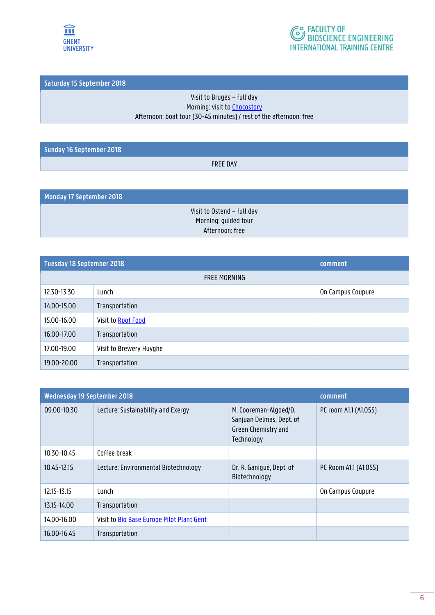



**Saturday 15 September 2018**

#### Visit to Bruges – full day Morning: visit to **Chocostory** Afternoon: boat tour (30-45 minutes) / rest of the afternoon: free

**Sunday 16 September 2018**

FREE DAY

**Monday 17 September 2018**

Visit to Ostend – full day Morning: guided tour Afternoon: free

| <b>Tuesday 18 September 2018</b> |                         | comment           |  |
|----------------------------------|-------------------------|-------------------|--|
|                                  | <b>FREE MORNING</b>     |                   |  |
| 12.30-13.30                      | Lunch                   | On Campus Coupure |  |
| 14.00-15.00                      | Transportation          |                   |  |
| 15.00-16.00                      | Visit to Roof Food      |                   |  |
| 16.00-17.00                      | Transportation          |                   |  |
| 17.00-19.00                      | Visit to Brewery Huyghe |                   |  |
| 19.00-20.00                      | Transportation          |                   |  |

| Wednesday 19 September 2018 |                                           | comment                                                                                |                       |
|-----------------------------|-------------------------------------------|----------------------------------------------------------------------------------------|-----------------------|
| 09.00-10.30                 | Lecture: Sustainability and Exergy        | M. Cooreman-Algoed/D.<br>Sanjuan Delmas, Dept. of<br>Green Chemistry and<br>Technology | PC room A1.1 (A1.055) |
| 10.30-10.45                 | Coffee break                              |                                                                                        |                       |
| 10.45-12.15                 | Lecture: Environmental Biotechnology      | Dr. R. Ganiqué, Dept. of<br>Biotechnology                                              | PC Room A1.1 (A1.055) |
| 12.15-13.15                 | Lunch                                     |                                                                                        | On Campus Coupure     |
| 13.15-14.00                 | Transportation                            |                                                                                        |                       |
| 14.00-16.00                 | Visit to Bio Base Europe Pilot Plant Gent |                                                                                        |                       |
| 16.00-16.45                 | Transportation                            |                                                                                        |                       |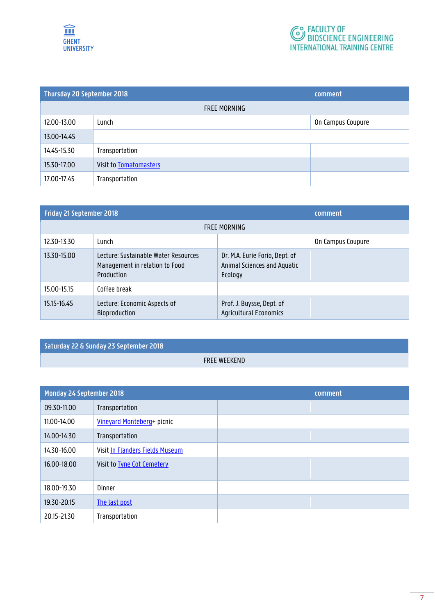

| Thursday 20 September 2018 |                               | comment           |
|----------------------------|-------------------------------|-------------------|
| FREE MORNING               |                               |                   |
| 12.00-13.00                | Lunch                         | On Campus Coupure |
| 13.00-14.45                |                               |                   |
| 14.45-15.30                | Transportation                |                   |
| 15.30-17.00                | <b>Visit to Tomatomasters</b> |                   |
| 17.00-17.45                | Transportation                |                   |

| Friday 21 September 2018 |                                                                                      | comment                                                                  |                   |
|--------------------------|--------------------------------------------------------------------------------------|--------------------------------------------------------------------------|-------------------|
| <b>FREE MORNING</b>      |                                                                                      |                                                                          |                   |
| 12.30-13.30              | Lunch                                                                                |                                                                          | On Campus Coupure |
| 13.30-15.00              | Lecture: Sustainable Water Resources<br>Management in relation to Food<br>Production | Dr. M.A. Eurie Forio, Dept. of<br>Animal Sciences and Aquatic<br>Ecology |                   |
| 15.00-15.15              | Coffee break                                                                         |                                                                          |                   |
| 15.15-16.45              | Lecture: Economic Aspects of<br><b>Bioproduction</b>                                 | Prof. J. Buysse, Dept. of<br><b>Agricultural Economics</b>               |                   |

**Saturday 22 & Sunday 23 September 2018**

FREE WEEKEND

| <b>Monday 24 September 2018</b> |                                   | comment |  |
|---------------------------------|-----------------------------------|---------|--|
| 09.30-11.00                     | Transportation                    |         |  |
| 11.00-14.00                     | Vineyard Monteberg+ picnic        |         |  |
| 14.00-14.30                     | Transportation                    |         |  |
| 14.30-16.00                     | Visit In Flanders Fields Museum   |         |  |
| 16.00-18.00                     | Visit to <b>Tyne Cot Cemetery</b> |         |  |
| 18.00-19.30                     | Dinner                            |         |  |
| 19.30-20.15                     | The last post                     |         |  |
| 20.15-21.30                     | Transportation                    |         |  |